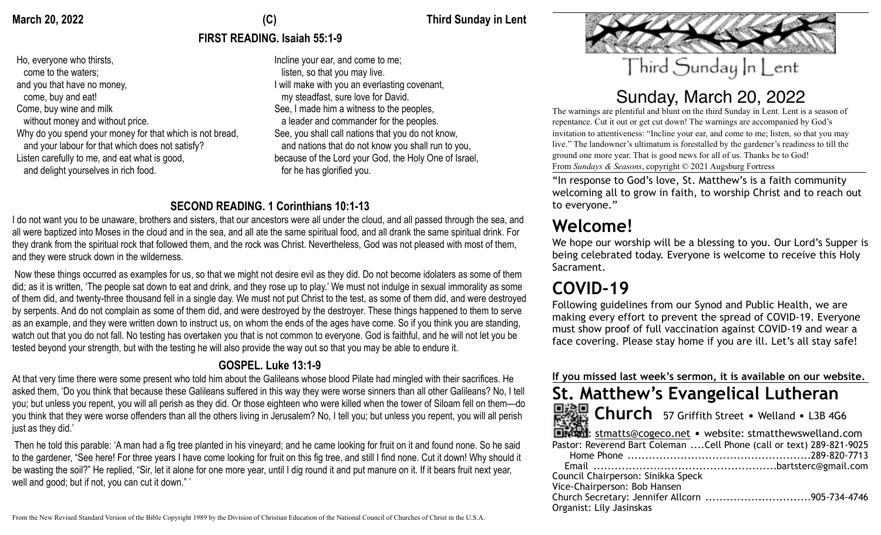Ho, everyone who thirsts, come to the waters; and you that have no money, come, buy and eat! Come, buy wine and milk without money and without price. Why do you spend your money for that which is not bread, and your labour for that which does not satisfy? Listen carefully to me, and eat what is good, and delight yourselves in rich food.

### March 20, 2022 **March 20, 2022 Third Sunday in Lent**

# **FIRST READING. Isaiah 55:1-9**

Incline your ear, and come to me; listen, so that you may live. I will make with you an everlasting covenant, my steadfast, sure love for David. See, I made him a witness to the peoples, a leader and commander for the peoples. See, you shall call nations that you do not know, and nations that do not know you shall run to you, because of the Lord your God, the Holy One of Israel, for he has glorified you.

# **SECOND READING. 1 Corinthians 10:1-13**

I do not want you to be unaware, brothers and sisters, that our ancestors were all under the cloud, and all passed through the sea, and all were baptized into Moses in the cloud and in the sea, and all ate the same spiritual food, and all drank the same spiritual drink. For they drank from the spiritual rock that followed them, and the rock was Christ. Nevertheless, God was not pleased with most of them, and they were struck down in the wilderness.

 Now these things occurred as examples for us, so that we might not desire evil as they did. Do not become idolaters as some of them did; as it is written, 'The people sat down to eat and drink, and they rose up to play.' We must not indulge in sexual immorality as some of them did, and twenty-three thousand fell in a single day. We must not put Christ to the test, as some of them did, and were destroyed by serpents. And do not complain as some of them did, and were destroyed by the destroyer. These things happened to them to serve as an example, and they were written down to instruct us, on whom the ends of the ages have come. So if you think you are standing, watch out that you do not fall. No testing has overtaken you that is not common to everyone. God is faithful, and he will not let you be tested beyond your strength, but with the testing he will also provide the way out so that you may be able to endure it.

# **GOSPEL. Luke 13:1-9**

At that very time there were some present who told him about the Galileans whose blood Pilate had mingled with their sacrifices. He asked them, 'Do you think that because these Galileans suffered in this way they were worse sinners than all other Galileans? No, I tell you; but unless you repent, you will all perish as they did. Or those eighteen who were killed when the tower of Siloam fell on them—do you think that they were worse offenders than all the others living in Jerusalem? No, I tell you; but unless you repent, you will all perish just as they did.'

 Then he told this parable: 'A man had a fig tree planted in his vineyard; and he came looking for fruit on it and found none. So he said to the gardener, "See here! For three years I have come looking for fruit on this fig tree, and still I find none. Cut it down! Why should it be wasting the soil?" He replied, "Sir, let it alone for one more year, until I dig round it and put manure on it. If it bears fruit next year, well and good; but if not, you can cut it down." '



# Sunday, March 20, 2022

The warnings are plentiful and blunt on the third Sunday in Lent. Lent is a season of repentance. Cut it out or get cut down! The warnings are accompanied by God's invitation to attentiveness: "Incline your ear, and come to me; listen, so that you may live." The landowner's ultimatum is forestalled by the gardener's readiness to till the ground one more year. That is good news for all of us. Thanks be to God! From *Sundays & Seasons*, copyright © 2021 Augsburg Fortress

"In response to God's love, St. Matthew's is a faith community welcoming all to grow in faith, to worship Christ and to reach out to everyone."

**Welcome!** We hope our worship will be a blessing to you. Our Lord's Supper is being celebrated today. Everyone is welcome to receive this Holy Sacrament.

# **COVID-19**

Following guidelines from our Synod and Public Health, we are making every effort to prevent the spread of COVID-19. Everyone must show proof of full vaccination against COVID-19 and wear a face covering. Please stay home if you are ill. Let's all stay safe!

### **If you missed last week's sermon, it is available on our website.**

# **St. Matthew's Evangelical Lutheran**



 **Church** 57 Griffith Street • Welland • L3B 4G6

|                                    | <b>Elemail:</b> stmatts@cogeco.net • website: stmatthewswelland.com   |
|------------------------------------|-----------------------------------------------------------------------|
|                                    | Pastor: Reverend Bart Coleman  Cell Phone (call or text) 289-821-9025 |
|                                    |                                                                       |
|                                    |                                                                       |
| Council Chairperson: Sinikka Speck |                                                                       |
| Vice-Chairperson: Bob Hansen       |                                                                       |
|                                    | Church Secretary: Jennifer Allcorn 905-734-4746                       |
| Organist: Lily Jasinskas           |                                                                       |